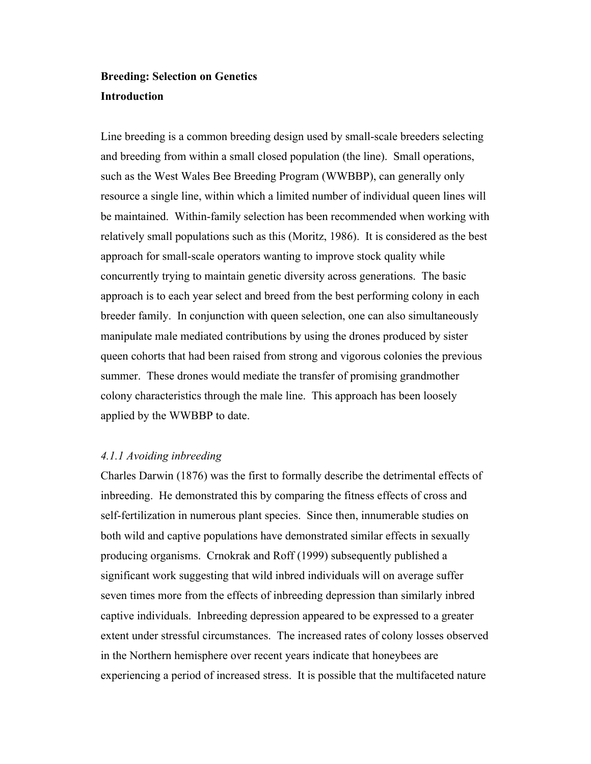## **Breeding: Selection on Genetics Introduction**

Line breeding is a common breeding design used by small-scale breeders selecting and breeding from within a small closed population (the line). Small operations, such as the West Wales Bee Breeding Program (WWBBP), can generally only resource a single line, within which a limited number of individual queen lines will be maintained. Within-family selection has been recommended when working with relatively small populations such as this (Moritz, 1986). It is considered as the best approach for small-scale operators wanting to improve stock quality while concurrently trying to maintain genetic diversity across generations. The basic approach is to each year select and breed from the best performing colony in each breeder family. In conjunction with queen selection, one can also simultaneously manipulate male mediated contributions by using the drones produced by sister queen cohorts that had been raised from strong and vigorous colonies the previous summer. These drones would mediate the transfer of promising grandmother colony characteristics through the male line. This approach has been loosely applied by the WWBBP to date.

## *4.1.1 Avoiding inbreeding*

Charles Darwin (1876) was the first to formally describe the detrimental effects of inbreeding. He demonstrated this by comparing the fitness effects of cross and self-fertilization in numerous plant species. Since then, innumerable studies on both wild and captive populations have demonstrated similar effects in sexually producing organisms. Crnokrak and Roff (1999) subsequently published a significant work suggesting that wild inbred individuals will on average suffer seven times more from the effects of inbreeding depression than similarly inbred captive individuals. Inbreeding depression appeared to be expressed to a greater extent under stressful circumstances. The increased rates of colony losses observed in the Northern hemisphere over recent years indicate that honeybees are experiencing a period of increased stress. It is possible that the multifaceted nature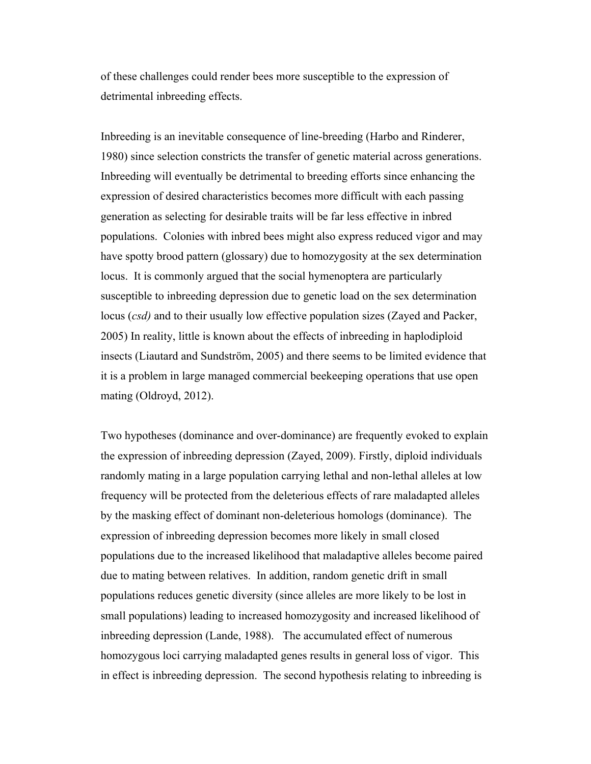of these challenges could render bees more susceptible to the expression of detrimental inbreeding effects.

Inbreeding is an inevitable consequence of line-breeding (Harbo and Rinderer, 1980) since selection constricts the transfer of genetic material across generations. Inbreeding will eventually be detrimental to breeding efforts since enhancing the expression of desired characteristics becomes more difficult with each passing generation as selecting for desirable traits will be far less effective in inbred populations. Colonies with inbred bees might also express reduced vigor and may have spotty brood pattern (glossary) due to homozygosity at the sex determination locus. It is commonly argued that the social hymenoptera are particularly susceptible to inbreeding depression due to genetic load on the sex determination locus (*csd)* and to their usually low effective population sizes (Zayed and Packer, 2005) In reality, little is known about the effects of inbreeding in haplodiploid insects (Liautard and Sundström, 2005) and there seems to be limited evidence that it is a problem in large managed commercial beekeeping operations that use open mating (Oldroyd, 2012).

Two hypotheses (dominance and over-dominance) are frequently evoked to explain the expression of inbreeding depression (Zayed, 2009). Firstly, diploid individuals randomly mating in a large population carrying lethal and non-lethal alleles at low frequency will be protected from the deleterious effects of rare maladapted alleles by the masking effect of dominant non-deleterious homologs (dominance). The expression of inbreeding depression becomes more likely in small closed populations due to the increased likelihood that maladaptive alleles become paired due to mating between relatives. In addition, random genetic drift in small populations reduces genetic diversity (since alleles are more likely to be lost in small populations) leading to increased homozygosity and increased likelihood of inbreeding depression (Lande, 1988). The accumulated effect of numerous homozygous loci carrying maladapted genes results in general loss of vigor. This in effect is inbreeding depression. The second hypothesis relating to inbreeding is